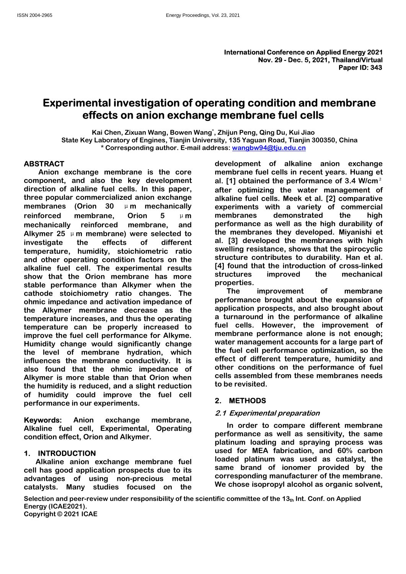# Energy Proceedings, Vol. 23, 2021<br>
International Conference on Applied Energy 2021<br>
Nov. 29 - Dec. 5, 2021, Thailand/Vrtual<br>
Paper ID: 343<br>
Experimental investigation of operating condition and membrane<br>
effects on anion e Energy Proceedings, Vol. 23, 2021<br> **International Conference on Applied Energy 2021**<br>
Nov. 29 - Dec. 5, 2021, Thailand Wirtual<br>
Paper ID: 343<br>
Per ID: 343<br>
Rai Chen, Zixuan Wang, Bowen Wang', Zhijun Peng, Qing Du, Kui Jiao Energy Proceedings, Vol. 23, 2021<br> **International Conference on Applied Energy 2021**<br>
Nov. 29 - Dec. 5, 2021, Thailand/Virtual<br> **Paper ID: 343**<br> **Paper ID: 343**<br> **Rial Chen, Zixuan Wang, Bowen Wang<sup>+</sup>, 2hijun Peng, Qing Du** Energy Proceedings, Vol. 23, 2021<br> **International Conference on Applied Energy 2021**<br>
Nov. 29 - Dec. 5, 2021, Thailand Virtual<br>
Near ID: 343<br>
Erimental investigation of operating condition and membrane<br>
effects on anion ex Energy Proceedings, Vol. 23, 2021<br> **hternational Conference on Applied Energy 2021**<br> **Rail investigation of operating condition and membrane**<br> **Corresponding author. E-mail address: wangbw94@tju.edu.cn**<br>
<sup>Corresponding aut</sup>

# **ABSTRACT**

Enginetative interests and units under the fuel cells. However, the improvement of the fuel election and the property increased to the Homelyh, Humidity change water management accounts for a large part of the level of mem temperature can be properly increased to the circless. The<br>
limprove the fuel cell performance for Alkyme. The limprove the fuel cell performance for Alkyme. The function<br>
limprove the fuel cell performance orductivity. It mprove the tuel cell performance for Alkyme.<br>
Humidity change would significantly change water management accounting<br>
the level of membrane conductivity. It is effect of different temperaturity<br>
also found that the ohmic **Experimential investigation of operating condition and membrane<br>
Experimental investigation of operating condition and membrane<br>
Experimental investigation of operating condition and membrane<br>
Kai Chen, Zixuan Wang, Bowe** Experimental investigation of operating condition and membrane<br>
effects on anion exchange membrane fuel cells<br>  $\frac{1}{2}$ <br>  $\frac{1}{2}$ <br>  $\frac{1}{2}$ <br>  $\frac{1}{2}$ <br>  $\frac{1}{2}$ <br>  $\frac{1}{2}$ <br>  $\frac{1}{2}$ <br>  $\frac{1}{2}$ <br>  $\frac{1}{2}$ <br>  $\frac{1}{2}$ <br> Experimental investigation of operating condition and membrane<br>
effects on anion exchange membrane fuel cells<br>
Kai chen, Zixuan Wang, Bowen Wang', Zhijun Peng, Qing Du, Kui Jiao<br>
State Key Laboratory of Engines, Tianjin U Experimental investigation of operating condition and membrane<br>
effects on anion exchange membrane fuel cells<br>
Kai Chen, Zixuan Wang, Bowen Wang', Zhijun Peng, Qing Du, Kui Jiao<br>
State Key Laboratoy of Engines, Tianjin Un **Experimentally Considered to the consideration** and **Consideration** and **Consideration** and the performance of the stable performance of alkaline anion exchange that "Corresponding author. E-mail diviversity, 135 Yaguan **EFFECTS ON AINION eXCHANGE THENDE THE CENS**<br>
Kata the New Lation Axis (Thing, Bowen Wang, Thing Dislum Peng, Qing Du, Kui Jiao<br>
State Key Laboratory of Engines, Tianjin University, 135 Yaguan Road, Tianjin 300350, China<br> State Ney Lawran Wang, Bowen Wang', 2hijun Peng, Qing Du, Kui Jao<br>
State Ney Laboratory of Engines, Tianjin University, 135 Yaguan Road, Tianjin 300356, China<br>
ABSTRACT<br>
ABSTRACT<br>
Corresponding author. E-mail address: wang Kai Chen, Ziwan Wang, Bowen Wang, Tanjin University, 135 Yaguan Road, Kui Jiao<br>
State Key Laboratory of Engines, Tianjin University, 135 Yaguan Road, Tianjin 300350, China<br>
ABSTRACT<br>
\*Corresponding author. E-mail address: State Key Labrardory of Fanjers, Tamin University, 135 Yaguan Road, Tianjin 300350, China<br>
ABSTRACT<br>
ABSTRACT<br>
ABSTRACT<br>
ABSTRACT<br>
Corresponding author. E-mail address: wangbw940@lu.edu.on<br>
component, and also the key dev **ABSTRACT**<br> **ABSTRACT**<br>
ARBSTRACT<br>
ARBSTRACT<br>
Anion exchange membrane is the core<br>
corresponding autor. E-main access: wangonwer<br>
can deliver definal entit can be performance of 3.4 Wicm<sup>2</sup><br>
direction of alkaline fuel cel **ABSTRACT**<br> **EXERIGNOM CONTIFY AND THE TRANSE CONTIFY AND THE CAST AND THE CAST AND THE CAST AND THE CAST AND THE CONTEXT (THE CONTEXT SURVED THE CONTEXT CONTEXT AND THE CHE CURL IN THE SPACE THE OPPLICING THE CHE CAST AN** Mative<br>
Main exchange membrane is the core membrane fuel cells in recent years. Huang et<br>
component, and also the key development al. [1] obtained the performance of 3.4 Wicm<sup>3</sup><br>
direction of alkaline fuel cells. In this p Numine when the membrane is a control in the membrane term care as a street in term in the different of alkaline fuel cells. In this paper, and the perpendictation of alkaline fuel cells. The perpendictation of the mangeme Consideration of all the very every in this paper, after optimizing the water management of direction of all<br>aline fuel cells. In this paper, after optimizing the water management of<br>three popular commercialized anion exch Enter of the methanical control and the community and the state of the state of the methanical periodic methanical methanical periodic methanical periodic methanical periodic scate is the methanical periodic of the methani The popular communic communic communic and the more in the case. We are a large part of membranes (Orion 30 um mechanically experiments with a variety of commercial mechanically eninforced membrane, Orion 5 um mechanically membranes (brind) or "incrementation of a rarety or commercial<br>membranes, Orion 5  $\mu$  m membranes demonstrated the high<br>membranes, Orion 5  $\mu$  m membranes demonstrated the high<br>alklymer 25  $\mu$  m embrane) were selected remorced membrane, oron 5  $\mu$  m membrane successive the map<br>
emchanically reinforced membrane, and performance as well as the high durability of<br>
Alkymer 25  $\mu$  m membrane) were selected to the membranes they developed. mechanically reinforced membrane, and the performance as well as the<br>methanically restricted to the membranes were as well as the effects investigate the effects of different al. [3] developed the membranes they develonmen investigate the effects of different at it is in a velling resistance, shows that the spinon and other operating condition factors on the structure contributes to durable and a structure to an allow that the Orion membran temperature, luminidity, stoichiometric ratio sweeting resistance, some structure contributes to durability. Han et a<br>slabline fuel cell. The experimental results (4) found that the introduction of cross-linke<br>stable perfo and other operating condition factors on the structure connouses to utransmitter operation and alkaline fuel clil. The experimental results and Plymer when the properties improved the stable erformance than Alkymer when th show that the Orion membrane has more<br>structures<br>cathode stoichiometry ratio changes. The interaction-<br>cathode stoichiometry ratio changes. The interaction-<br>temperature membrane decrease as the application performance temp ble performance than Alkymer when the properties.<br>
Hode stochiometry ratio changes. The The improvement of membrane the<br>
incimendence and activation impedance of application prospects, and also brought about<br>
Alkymer memb cathode stockinionerly ratio changes. The improvement of membrane brought about the Alkymer membrane decreases as the application prospects, and also brought about temperature increases, and thus the per-ating a turnaroun ohmic impediate and activation impediate of the reason and activation impediate of the expension of temperature increases, and thus the operating a turnarious temperature increases, and thus the percious function properts the Alkigner membrane decrease as the spincaton prospects, and asso forough the perdimentation in the performance of alkaline<br>
temperature can be proprig increased to the cells. However, the improvement of<br>
timprove the fu

Energy Processings, Vol. 23, 2021<br> **Experimental investigation of operating condition and membrane<br>
Effects on anion exchange membrane fuel cells<br>
Key Laboratory of Engines, Tanjin University, 135 Yaguan Road, Tianjin 300** Experimental investigation of operating condition and membrane  $\frac{1}{2}$ <br>
Experimental investigation of operating condition and membrane<br>
effects on anion exchange membrane fuel cells<br>
Kai Chen, Zixuan Wang, Bowen Wang, Z National Conference on Applied Energy 2021<br>
Mov. 29 - Dec. 5, 2021, The liends<br>
Nov. 29 - Dec. 5, 2021, The liends<br>
Nov. 29 - Dec. 5, 2021, The liends<br>
Nov. 29 - Dec. 5, 2021, The liends<br>
Nationary and the cells of the ce International Conference on Applied Energy 202<br> **Experimental investigation of operating condition and membrane**<br> **Experimental investigation of operating condition and membrane**<br> **Experimental investigation of operating c** International Conference on Applied Energy 2021<br>
Nov. 29 - Dec. 5, 2021, Thailand Virtual<br>
Paper ID: 343<br> **Experimental investigation of operating condition and membrane**<br>
effects on anion exchange membrane fuel cells<br>
Ka International Conference on Applied Energy 2021<br>
Nov. 29 - Dec. 5, 2021, Thailand/Virtual<br>
Paper ID: 343<br>
Experimental investigation of operating condition and membrane<br>
Effects on anion exchange membrane fuel cells<br>
Kai C **Experimental investigation of operating condition and membrane effects on anion exchange membrane fuel cells<br>
Kai Chen, Zixuan Wang, Bowen Wang', Zhijun Peng, Qing Du, Kui Jiao<br>
State Key Laboratory of Engines, Tiamin Un Experimental investigation of operating condition and membrane<br>
effects on anion exchange membrane fuel cells<br>
Kai Chen, Zixuan Wang, Bowen Wang', Zhijun Peng, Qing Du, Kui Jiao<br>
State Key Laboratory of Engines, Tianjin** Experimental investigation of operating condition and membrane<br>
effects on anion exchange membrane fuel cells<br>
Kata Key Laboratory of Engines, Tianjin University, 185 Yaguan Road, Tianjin 300350, China<br>
State Key Laborato ol. 23, 2021<br> **International Conference on Applied Energy 2021**<br> **Nov. 29 - Dec. 5, 2021, Thailand/Virtual**<br> **Paper ID: 343**<br> **Paper ID: 343**<br> **Paper ID: 343**<br> **Paper ID: 343**<br> **Paper ID: 343**<br> **Paper ID: 343**<br> **Paper ID:** ol. 23, 2021<br> **International Conference on Applied Energy 2021**<br>
Nov. 29 - Dec. 5, 2021, Thailand/Virtual<br> **Paper ID: 343**<br> **Tating condition and membrane**<br> **Paper ID: 343**<br> **Tating condition and membrane**<br> **Paper ID: 343 International Conference on Applied Energy 2021**<br>
Nov. 29 - Dec. 5, 2021, Thailand/Virtual<br> **Paper ID: 343**<br> **Paper ID: 343**<br> **Paper ID: 343**<br> **Paper ID: 343**<br> **Paper ID: 343**<br> **Paper ID: 343**<br> **Paper ID: 343**<br> **Paper ID** International Conference on Applied Energy 2021<br>
Nov. 29 - Dec. 5, 2021, Thailand/Virtual<br>
Paper ID: 343<br> **alger in the fuel cells**<br> **ally, 135 Yaguan Road, Tianjin 300350, China**<br>
ress: <u>wangbw94@tju.edu.on</u><br>
ress: <u>wang</u> International Conference on Applied Energy 2021<br>
Nov. 29 - Dec. 5, 2021, Thailand/Virtual<br>
Paper ID: 343<br> **Trading Condition and membrane**<br> **Paper ID: 343**<br> **Paper ID: 343**<br> **Paper ID: 343**<br> **Paper ID: 343**<br> **Paper ID: 343** International Conference on Applied Energy 2021<br>
Nov. 29 - Dec. 5, 2021, Thailand/Virtual<br>
Paper ID: 343<br> **ratting condition and membrane**<br> **Paper ID: 343**<br> **ratting condition and membrane**<br> **Paper ID: 343**<br> **Paper ID: 34** International Conference on Applied Energy 2021<br>
Nov. 29 - Dec. 5, 2021, Thailand/Virtual<br>
Paper ID: 343<br>
Paper ID: 343<br>
Paper ID: 343<br>
Paper ID: 343<br>
Paper ID: 343<br>
Paper ID: 343<br>
Paper ID: 343<br>
Paper ID: 343<br>
Paper ID: membranes of Applied Lending 2002<br> **Trading Condition and membrane**<br> **Trading Condition and membrane**<br> **Proper ID:** 343<br> **Trading Condition and membrane**<br> **Proper ID:** 343<br> **Trading Condition and membrane**<br> **Proper ID:** 3 **Example 12**<br> **Example 10:** 343<br> **Paper ID:** 343<br> **Paper ID:** 343<br> **Paper ID:** 343<br> **Paper ID:** 343<br> **Paper ID:** 343<br> **Paper ID:** 343<br> **Paper ID:** 343<br> **Paper ID:** 343<br> **Paper ID:** 343<br> **Paper ID:** 343<br> **Paper ID:** 343<br> **rating condition and membrane**<br> **Surface The School Common Symmissisty**, 135 Yaguan Road, Tianjin 300350, China<br>
sity, 135 Yaguan Road, Tianjin 300350, China<br>
ress: wangbw94@tju.edu.on<br>
development of alkaline anion exch **rating condition and membrane**<br> **Prombrane fuel cells**<br>
2. Thijun Peng, Qing Du, Kui Jiao<br>
sity, 135 Yaguan Road, Tianjin 300350, China<br>
ress: <u>wangbw94@tju.edu.cn</u><br>
development of alkaline anion exchange<br>
membrane fuel **rating condition and membrane**<br> **Example 2018**<br> **Example 2018**<br> **Example 2018**<br> **Example 2018**<br> **Example 2018**<br> **Example 2018**<br> **Example 2018**<br> **Example 2018**<br> **Example 2018**<br> **Example 2018**<br> **Example 2018**<br> **Example 201 rating condition and membrane**<br> **Promovember 10 Collis**<br>
2. Zhijun Peng, Qing Du, Kui Jiao<br>
sity, 135 Yaguan Road, Tianjin 300350, China<br>
ress: <u>wangbw94@tju.edu.cn</u><br>
development of alkaline anion exchange<br>
membrane fuel properties. **nembrane fuel cells**<br>
ijun Peng, Qing Du, Kui Jiao<br>
135 Yaguan Road, Tianjin 300350, China<br>
is: <u>wangbw94@tju.edu.cn</u><br>
elopment of alkaline anion exchange the membrane fuel cells in recent years. Huang et<br>
[1] obtained th , Zhijun Peng, Qing Du, Kui Jiao<br>sity, 135 Yaguan Road, Tianjin 300350, China<br>ress: <u>wangbw94@tju.edu.on</u><br>development of alkaline anion exchange<br>development of alkaline anion exchange<br>all (1] obtained the performance of 3. , Zhijun Peng, Qing Du, Kui Jiao<br>sity, 135 Yaguan Road, Tianjin 300350, China<br>ress: <u>wangbw94@tju.edu.cn</u><br>development of alkaline anion exchange<br>development of alkaline anion exchange<br>al. [1] obtained the performance of 3. sity, 135 Yaguan Road, Tianjin 300350, China<br>ress: <u>wangbw94@tju.edu.on</u><br>development of alkaline anion exchange membrane fuel cells in recent years. Huang et<br>al. [1] obtained the performance of 3.4 Wicm<sup>2</sup><br>after optimizing ress: wangbw94@tju.edu.cn<br>development of alkaline anion exchange<br>membrane fuel cells in recent years. Huang et<br>al. [1] obtained the performance of 3.4 W/cm<sup>2</sup><br>alter optimizing the water management of<br>alkaline fuel cells. M development of alkaline anion exchange<br>membrane fuel cells in recent years. Huang et<br>al. [1] obtained the performance of 3.4 W/cm<sup>2</sup><br>after optimizing the water management of<br>alkaline fuel cells. Meek et al. [2] comparative development of alkaline anion exchange<br>
membrane fuel cells in recent years. Huang et<br>
membrane fuel cells in recent years. Huang et<br>
al. [1] obtained the performance of 3.4 W/cm<sup>2</sup><br>
experiments with a variety of commercia membrane tuel cells in recent years. Huang et<br>al. [1] obtained the performance of 3.4 Wich<sup>2</sup><br>after optimizing the water management of<br>alkaline fuel cells. Meek et al. [2] comparative<br>experiments with a variety of commerci al. [1] obtained the performance of 3.4 W/cm<sup>2</sup><br>after optimizing the water management of<br>alkaline fuel cells. Meek et al. [2] comparative<br>experiments with a variety of commercial<br>membranes demonstrated the high<br>temperform

after optimizing the water management of alkaline fuel cells. Meek et al. [2] comparative experiments with a variety of commercial membranes demonstrated the high performance as well as the high durability of the membrane alkaline fuel cells. Meek et al. [2] comparative<br>experiments with a variety of commercial<br>emembranes demonstrated the high<br>performance as well as the high durability of<br>the membranes they developed. Miyanishi et<br>al. [3] de experiments with a variety of commercial<br>membranes demonstrated the high<br>performance as well as the high durability of<br>the membranes they developed. Miyanishi et<br>al. [3] developed the membranes with high<br>esvelling resistan performance as well as the high durability of<br>the membranes they developed. Miyanishi et<br>al. [3] developed the membranes with high<br>swelling resistance, shows that the spirocyclic<br>structure contributes to durability. Han et Increminations they developed the membranes with high<br>al. [3] developed the membranes with high<br>swelling resistance, shows that the spirocyclic<br>structure contributes to durability. Han et al.<br>d(4) found that the introducti elling resistance, shows that the spirocyclic<br>coture contributes to durability. Han et al.<br>found that the introduction of cross-linked<br>cotures improved the mechanical<br>perties.<br>The improvement of membrane<br>formance brought a structure contributes to durability. Han et al.<br>
(4) found that the introduction of cross-linked<br>
properties.<br>
The improvement of membrane<br>
performance brought about the expansion of<br>
a properties.<br>
The improvement of memb [4] found that the introduction of cross-linked<br>structures<br>properties.<br>The improvement of membrane<br>performance brought about the expansion of<br>application prospects, and also brought about<br>a turnaround in the performance of structures improved the mechanical<br>properties.<br>The improvement of membrane<br>performance brought about the expansion of<br>application prospects, and also brought about<br>a turnaround in the performance of alkaline<br>fuel cells. Ho properties.<br>
The improvement of membrane<br>
performance brought about the expansion of<br>
application prospects, and also brought about<br>
a turnaround in the performance of alkaline<br>
fuel cells. However, the improvement of<br>
me The improvement of membrane brought about the expansion of<br>application prospects, and also brought about<br>a turnaround in the performance of alkaline<br>fuel cells. However, the improvement of<br>membrane performance alone is no performance brought about the expansion of<br>application prospects, and also brought about<br>a turnaround in the performance of alkaline<br>fuel cells. However, the improvement of<br>membrane performance alone is not enough;<br>water m application prospects, and also brought about<br>a turnaround in the performance of alkaline<br>fuel cells. However, the improvement of<br>membrane performance alone is not enough;<br>water management accounts for a large part of<br>the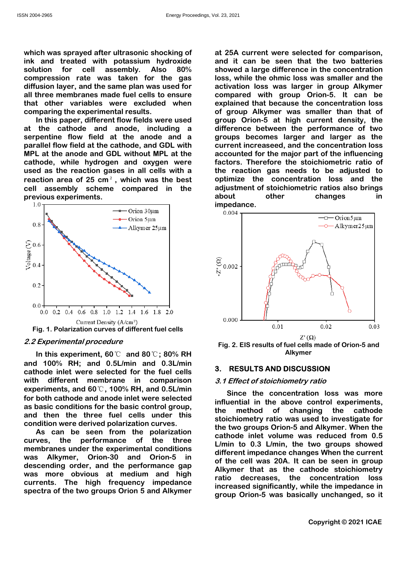Energy Proceedings, Vol. 23, 2021<br>
Which was sprayed after ultrasonic shocking of<br>
ink and treated with potassium hydroxide<br>
solution for cell assembly. Also 80%<br>
compression rate was taken for the gas<br>
diffusion layer, a

which was sprayed after ultrasonic shocking of at 25A current wink and treated with potassium hydroxide and it can be solution for cell assembly. Also 80% showed a large diffusion layer, and the same plan was used for act



Energy Proceedings, Vol. 23, 2021<br>which was sprayed after ultrasonic shocking of at 25A current were selected for comparison,<br>ink and treated with potassium hydroxide and it can be seen that the two batteries<br>solution for Energy Proceedings, Vol. 23, 2021<br>
Shergy Proceedings, Vol. 23, 2021<br>
which was sprayed after ultrasonic shocking of at 25A current were selected for comparison,<br>
ink and treated with potassium hydroxide and it can be see Energy Proceedings, Vol. 23, 2021<br>
which was sprayed after ultrasonic shocking of at 25A current were selected for comparison,<br>
ink and treated with potassium hydroxide and it can be seen that the two batteries<br>
solution Energy Proceedings, Vol. 23, 2021<br>
which was sprayed after ultrasonic shocking of<br>
ink and treated with potassium hydroxide<br>
solution is and it can be seen that the two batteries<br>
solution of cell assembly. Also 80%<br>
compr Energy Proceedings, Vol. 23, 2021<br>
all three membranes made fuel three membranes made and it can be seen that the two batteries<br>
solution for cell assembly. Also 80% showed a large difference in the concentration<br>
sompress Energy Proceedings, Vol. 23, 2021<br>
which was sprayed after ultrasonic shocking of<br>
in the anded with potassium hydroxide<br>
solution for cell assembly. Also 80% showed a large difference in the concentration<br>
compression ra Energy Proceedings, Vol. 23, 2021<br>
which was sprayed after ultrasonic shocking of<br>
in a treated with potassium hydroxide<br>
solution for cell assembly. Also 80% showed a large difference in the towo<br>
solution for cell assem Energy Proceedings, Vol. 23, 2021<br>
Ch was sprayed after ultrasonic shocking of<br>
at 25A current were selected for comparison,<br>
and treated with potassium hydroxide<br>
and it can be seen that the two batteries<br>
intion for cel Energy Proceedings, Vol. 23, 2021<br>
Which was sprayed after ultrasonic shocking of<br>
ink and treated of the protososium by the cathode and it can be seen that the two batteries<br>
solution for cell assembly. Also 80% showed a standard many proceedings, vol. 23, 2021<br>
serge Proceedings, vol. 23, 2021<br>
ink and treated with potassium hydroxide<br>
solution for cell assembly. Also 80% showed alarge difference in the concentration<br>
sompression rate wa matrix and treated with published with a foreign Proceedings. Vol. 23, 2021<br>
which was sprayed after ultrasonic shocking of at 25A current were selected for comparison,<br>
included with potassium hydroxide and it can be see N'axos-2965<br>
Energy Processings, Vol. 23, 2021<br>
which was sprayed after ultrasonic shocking of<br>
at 25A current were selected for comparison,<br>
solution for cell assembly. Also 80% showed a large difference in the concentra Energy Processings. Vol. 23. 2021<br>
Energy Processings. Vol. 23. 2021<br>
which was sprayed after ultrasonic shocking of<br>
int and tracked with potasium hydroxide<br>
solution for cell assembly. Also 80% showed a large difference Energy Processings. Vol. 23. 2021<br>
which was sprayed after ultrasonic shocking of<br>
in the radio and it can be seen that the two batteries<br>
in the radio and it can be seen that the two batteries<br>
solution for cell assembly **Example Proceedings.** Vol. 23, 2021<br>
Which was sprayed after ultrasonic shocking of<br>
in the characted with polarism hydroxide<br>
solution for cell assembly. Also 80% showed a large difference in the concentration<br>
compress **Example Processings.** You 23, 2021<br>
Which was sprayed after ultrasonic shocking of at 25A current were selected for comparison,<br>
ink and treated with potassium hydroxide and it can be seen that the two batteries<br>
solutio <sup>ol. 23, 2021</sup><br>at 25A current were selected for comparison,<br>and it can be seen that the two batteries<br>showed a large difference in the concentration<br>loss, while the ohmic loss was smaller and the<br>activation loss was larger bless, 2021<br>at 25A current were selected for comparison,<br>and it can be seen that the two batteries<br>showed a large difference in the concentration<br>loss, while the ohmic loss was smaller and the<br>activation loss was larger in blem 23, 2021<br>at 25A current were selected for comparison,<br>and it can be seen that the two batteries<br>showed a large difference in the concentration<br>loss, while the ohmic loss was smaller and the<br>activation loss was larger ol. 23, 2021<br>
at 25A current were selected for comparison,<br>
and it can be seen that the two batteries<br>
showed a large difference in the concentration<br>
loss, while the ohmic loss was smaller and the<br>
activation loss was lar bol. 23, 2021<br>at 25A current were selected for comparison,<br>and it can be seen that the two batteries<br>showed a large difference in the concentration<br>loss, while the ohmic loss was smaller and the<br>activation loss was larger ol. 23, 2021<br>at 25A current were selected for comparison,<br>and it can be seen that the two batteries<br>showed a large difference in the concentration<br>loss, while the ohmic loss was smaller and the<br>activation loss was larger i ol. 23, 2021<br>at 25A current were selected for comparison,<br>and it can be seen that the two batteries<br>showed a large difference in the concentration<br>loss, while the ohmic loss was smaller and the<br>activation loss was larger i of 23, 2021<br>at 25A current were selected for comparison,<br>and it can be seen that the two batteries<br>showed a large difference in the concentration<br>loss, while the ohmic loss was smaller and the<br>activation loss was larger in ol. 23, 2021<br>at 25A current were selected for comparison,<br>and it can be seen that the two batteries<br>showed a large difference in the concentration<br>loss, while the ohmic loss was smaller and the<br>activation loss was larger i ol. 23, 2021<br>at 25A current were selected for comparison,<br>and it can be seen that the two batteries<br>showed a large difference in the concentration<br>loss, while the ohmic loss was smaller and the<br>activation loss was larger i ol. 23, 2021<br>at 25A current were selected for comparison,<br>and it can be seen that the two batteries<br>showed a large difference in the concentration<br>loss, while the ohmic loss was smaller and the<br>activation loss was larger i ol. 23, 2021<br>at 25A current were selected for comparison,<br>and it can be seen that the two batteries<br>showed a large difference in the concentration<br>loss, while the ohmic loss was smaller and the<br>activation loss was larger i accounted for the major particulary and the major showed a large difference in the concentration loss, while the ohmic loss was smaller and the activation loss was larger in group Alkymer compared with group Orion-5. It ca ol. 23, 2021<br>at 25A current were selected for comparison,<br>and it can be seen that the two batteries<br>showed a large difference in the concentration<br>loss, while the ohmic loss was smaller and the<br>activation loss was larger i ol. 23, 2021<br>at 25A current were selected for comparison,<br>and it can be seen that the two batteries<br>showed a large difference in the concentration<br>loss, while the ohmic loss was smaller and the<br>activation loss was larger ol. 23, 2021<br>at 25A current were selected for comparison,<br>and it can be seen that the two batteries<br>showed a large difference in the concentration<br>loss, while the ohmic loss was smaller and the<br>activation loss was larger ad 25A current were selected for comparison,<br>and it can be seen that the two batteries<br>showed a large difference in the concentration<br>loss, while the ohmic loss was smaller and the<br>activation loss was larger in group Alky at 25A current were selected for comparison,<br>at 25A current were selected for comparison,<br>showed a large difference in the concentration<br>loss, while the ohmic loss was smaller and the<br>activation loss was larger in group A impedance.



Alkymer

Is made of Orion-5 and<br>
Ir<br>
SSION<br>
Tratio<br>
ion loss was more<br>
control experiments,<br>
ging the cathode<br>
sed to investigate for<br>
d Alkymer. When the<br>
s reduced from 0.5<br>
two groups showed<br>
ges When the current<br>
an be seen in curves, the performance of the three 1922<br>
1922<br>
1922<br>
1923<br>
1923<br>
1934<br>
1934<br>
1934<br>
1945<br>
1945<br>
1947<br>
1947<br>
1947<br>
1947<br>
1947<br>
1947<br>
1947<br>
1947<br>
1947<br>
1947<br>
1947<br>
1947<br>
1947<br>
1947<br>
1947<br>
1947<br>
1947<br>
1947<br>
1947<br>
1947<br>
1947<br>
1947<br>
1947<br>
1947<br>
1947<br>
1947<br>
1947<br> was Alkymer, Orion-30 and Orion-5 in described to the method of changing the cathod and 100%. Hydre the performance different fuel cells and 100%. Hydre and 100% of the cells and the performance of the cells and the method in this experiment, 60°C and 80°C; 0.0  $\frac{1}{2}$ <br>  $\frac{1}{2}$ <br>  $\frac{1}{2}$ <br>  $\frac{1}{2}$ <br>  $\frac{1}{2}$ <br>  $\frac{1}{2}$ <br>  $\frac{1}{2}$ <br>  $\frac{1}{2}$ <br>  $\frac{1}{2}$ <br>  $\frac{1}{2}$ <br>  $\frac{1}{2}$ <br>  $\frac{1}{2}$ <br>  $\frac{1}{2}$ <br>  $\frac{1}{2}$ <br>  $\frac{1}{2}$ <br>  $\frac{1}{2}$ <br>  $\frac{1}{2}$ <br>  $\frac{1}{2}$ <br>  $\frac{1}{2}$ <br>  $\frac{1}{2}$ 0.6<br>  $\frac{0.0 + 0.1}{0.00 \times 0.4}$  0.6 0.8 1.0 1:2 1.4 1.6 1.8 2.0<br>
Fig. 1. Polarization curves of different fuel cells<br>
2.2 Experimental procedure<br>
In this experimental procedure<br>
In this experimental procedure<br>
In this expe by 02/04 b4 10 l/2 14 18 18 18 10<br>
Fig. 1. Polarization curves of different fuel cells<br>
2.2 Experimental proceedure<br>
2.2 Experimental proceedure<br>
2.2 Experimental proceedure<br>
and 100% RH; and 0.0°C and 80°C; 80% RH<br>
and Cathode inlet volume was reduced from 0.5<br>
different impediate of the cathode inclusion of the cathode information<br>
of the cathode increase of the cathode increase of the method stockhiometry ratio<br>
since the concentratio Let  $\begin{array}{c|c}\n\hline\n\vdots & \vdots & \vdots & \vdots \\
\hline\n0.000 & 0.01 & 0.02 & 0.03 \\
\hline\n\end{array}$ <br>
Eig. 2. EIS results of fuel cells made of Orion-5 and Alkymer<br>
3. **RESULTS AND DISCUSSION**<br>
3.1 Effect of stoichiometry ratio<br>
Since the concentra different impedance changes When the current o.000<br>
o.01 0.02 0.03<br>
Fig. 2. EIS results of fuel cells made of Orion-5 and<br>
Alkymer<br>
3. RESULTS AND DISCUSSION<br>
3.1 Effect of stoichiometry ratio<br>
Since the concentration loss was more<br>
since the concentration loss was  $\begin{array}{c|l} \hline \end{array}$ <br>  $\begin{array}{c} 0.000 \end{array}$ <br>  $\begin{array}{c} 0.01 \end{array}$ <br>  $\begin{array}{c} 0.01 \end{array}$ <br>  $\begin{array}{c} 0.02 \end{array}$ <br>  $\begin{array}{c} 0.03 \end{array}$ <br>  $\begin{array}{c} 2 \cdot ( \Omega ) \\$ <br> **3. RESULTS AND DISCUSSION**<br>  $\begin{array}{c} 3.1 \text{ Effect of stoichiometry ratio} \\ 0.5 \text{ Since the concentration loss was more  
influential in the above$  $\begin{array}{c|l}\n\end{array}$ <br>  $\begin{array}{c|l}\n\end{array}$ <br>  $\begin{array}{c|l}\n\end{array}$ <br>  $\begin{array}{c|l}\n\end{array}$ <br>
Fig. 2. EIS results of fuel cells made of Orion-5 and<br>
Alkymer<br>
3. **RESULTS AND DISCUSSION**<br>
3.1 Effect of stoichiometry ratio<br>
Since the concent  $\begin{array}{c|l} \hline \end{array}$ <br>  $\begin{array}{c} 0.000 \end{array}$ <br>  $\begin{array}{c} 0.01 \end{array}$ <br>  $\begin{array}{c} 0.01 \end{array}$ <br>  $\begin{array}{c} 0.02 \end{array}$ <br>  $\begin{array}{c} 0.03 \end{array}$ <br>  $\begin{array}{c} 2'(\Omega) \end{array}$ <br> **3. RESULTS AND DISCUSSION**<br>  $\begin{array}{c} 3.1 \text{ Effect of stoichiometry ratio} \\ \hline \end{array}$ <br>
Since the  $(0.000 \text{ L})$ <br>  $(0.01 \text{ L})$ <br>  $(0.02 \text{ L})$ <br>  $(0.03 \text{ R})$ <br>
Fig. 2. EIS results of fuel cells made of Orion-5 and<br>
Alkymer<br>
3. RESULTS AND DISCUSSION<br>
3.1 Effect of stoichiometry ratio<br>
Since the concentration loss was more<br>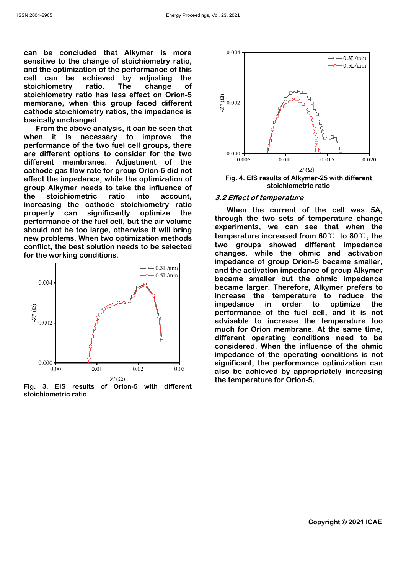Energy Proceedings, Vol. 23, 2021<br>
can be concluded that Alkymer is more<br>
sensitive to the change of stoichiometry ratio,<br>
and the optimization of the performance of this<br>
cell can be achieved by adjusting the<br>
stoichiome Energy Proceedings, Vol. 23, 2021<br>
can be concluded that Alkymer is more<br>
sensitive to the change of stoichiometry ratio,<br>
and the optimization of the performance of this<br>
cell can be achieved by adjusting the<br>
stoichiome Energy Proceedings, Vol. 23, 2021<br>
can be concluded that Alkymer is more<br>
sensitive to the change of stoichiometry ratio,<br>
and the optimization of the performance of this<br>
stoichiometry ratio. The change of<br>
stoichiometry Energy Proceedings, Vol. 23, 2021<br>
can be concluded that Alkymer is more<br>
sensitive to the change of stoichiometry ratio,<br>
and the optimization of the performance of this<br>
stoichiometry ratio. The change of stoichiometry Energy Proceedings, Vol. 23, 2021<br>
can be concluded that Alkymer is more<br>
sensitive to the change of stoichiometry ratio,<br>
cell can be achieved by adjusting the<br>
ecll can be achieved by adjusting the<br>
stoichiometry ratio. Energy Proceedings, Vol. 23, 2021<br>
can be concluded that Alkymer is more<br>
sensitive to the change of stoichiometry ratio,<br>
and the optimization of the performance of this<br>
cell can be achieved by adjusting the<br>
stoichiome

can be concluded that Alkymer is more<br>
sensitive to the change of stoichiometry ratio,<br>
cell can be obtimization of the performance of this<br>
stoichiometry ratio. The change of stoichiometry ratio as less effect on Orion-5 can be concluded that Alkymer is more<br>
sensitive to the change of stoichiometry ratio,<br>
cell can be achieved by adjusting the<br>
scolicionenty ratio. The change of this<br>
scolicionenty ratio and sense frect on Orion-5<br>
stoic can be concluded that Alkymer is more<br>
sensitive to the change of stoichiometry ratio. The change of stoichiometry ratio. The change of stoichiometry ratio as less effect on Orion-5<br>
stoichiometry ratio. The change of sto can be concluded that Alklymer is more in the sacking in the sacking of the performance of this can be achieved by adjusting the stockholometry ratio. The change of this stockholometry ratio. The change of the change of t sensitive to the change of stoichinometry ratio.<br>
and the optimization of the performance of this<br>
cell can be achieved by adjusting the<br>
stoichinometry ratio. The change of<br>
stoichinometry ratio. The change of<br>
achieved and the optimization of the performance of the interval conditions.<br>
scolichiometry ratio. The change of coron-5<br>
stoichiometry ratio. The change of coron-6<br>
conflict membrane, when this group faced different<br>
basically u cell can be achieved by adjusting the change of<br>stoichiometry ratio. The change of<br>stoichiometry ratio has less effect on Orion-5<br>cathode stoichiometry ratio has less effect on Orion-5<br>cathode stoichiometry ratios, the im





ing conditions is not<br>ing conditions is not<br>nce optimization can<br>ropriately increasing<br>5.<br>Copyright © 2021 ICAE Fig. 3. EIS results of Orion-5 with different<br>
Fig. 3. EIS results of Orion-5 with different<br>
Fig. 3. EIS results of Orion-5 with different<br>
Fig. 3. EIS results of Orion-5 with different<br>
Fig. 3. EIS results of Orion-5 wi  $\begin{array}{c}\n\mathbb{G}_{0.002} \\
\downarrow_{\text{b}}\n\end{array}$ <br>  $\begin{array}{c}\n\mathbb{G}_{0.000} \\
\downarrow_{0.005}\n\end{array}$ <br>  $\begin{array}{c}\n\mathbb{G}_{0.000} \\
\downarrow_{0.005}\n\end{array}$ <br>  $\begin{array}{c}\n\mathbb{G}_{100} \\
\downarrow_{0.005}\n\end{array}$ <br>  $\begin{array}{c}\n\mathbb{G}_{100} \\
\downarrow_{0.016}\n\end{array}$ <br>  $\begin{array}{c}\n\mathbb{G}_{200} \\$  $\begin{array}{c}\n\mathbb{S}_{0.002}\n\downarrow\n\end{array}$ <br>  $\begin{array}{c}\n\mathbb{S}_{0.002}\n\downarrow\n\end{array}$ <br>  $\begin{array}{c}\n\mathbb{S}_{0.002}\n\downarrow\n\end{array}$ <br>  $\begin{array}{c}\n\mathbb{S}_{10.000}\n\downarrow\n\end{array}$ <br>  $\begin{array}{c}\n\mathbb{S}_{200}\n\downarrow\n\end{array}$ <br>  $\begin{array}{c}\n\mathbb{S}_{11}\n\downarrow\n\end{array}$ <br>  $\begin{array}{c}\n\mathbb{S}_{12}\n\down$ became smaller but the ohmic impedance of the smaller increase the temperature increase the temperature smaller, and the activation impedance of proup Orion-5 became smaller, and the activation impedance of group Orion-5 <sup>2</sup><br>
because the the first definition of the first defined in the first defined in the first defined and the current of the call was 5A,<br>  $Z^2$  Effect of temperature<br>
When the current of the cell was 5A,<br>
experiments, we increase the temperature to reduce the  $\begin{array}{c}\n\circ \\
\circ \\
\circ\n\end{array}$ <br>  $\begin{array}{c}\n\circ \\
\circ\n\end{array}$ <br>  $\begin{array}{c}\n\circ \\
\circ\n\end{array}$ <br>  $\begin{array}{c}\n\circ \\
\circ\n\end{array}$ <br>  $\begin{array}{c}\n\circ \\
\circ\n\end{array}$   $\begin{array}{c}\n\circ \\
\circ\n\end{array}$ <br>
Fig. 4. EIS results of Alkymer-25 with different<br>  $\begin{array}{c}\n\circ \\
\circ\n\end{array}$  and  $\begin{array$  $\begin{array}{c}\n 0.000 \\
 0.005\n \end{array}$ <br>  $\begin{array}{c}\n 0.010 \\
 0.015\n \end{array}$ <br>  $\begin{array}{c}\n 2.000 \\
 0.015\n \end{array}$ <br>  $\begin{array}{c}\n 2.000 \\
 -0.015\n \end{array}$ <br>  $\begin{array}{c}\n 2.000 \\
 -0.015\n \end{array}$ <br>  $\begin{array}{c}\n 0.020\n \end{array}$ <br>  $\begin{array}{c}\n 2.000 \\
 -0.015\n \end{array}$ <br>  $\begin{array}{c}\n 0$  $\frac{8}{10000}$ <br>  $\frac{1}{0.0005}$ <br>  $\frac{27}{0.010}$ <br>  $\frac{27}{0.015}$ <br>
Fig. 4. EIS results of Alkymer-25 with different<br>
stoichiometric ratio<br>
3.2 Effect of temperature<br>
When the current of the cell was 5A,<br>
through the two sets  $0.000 + \frac{1}{1000}$ <br>  $0.010 - \frac{1}{1000}$ <br>  $0.015 - \frac{1}{1000}$ <br>  $0.015 - \frac{1}{1000}$ <br>  $0.015 - \frac{1}{1000}$ <br>  $0.015 - \frac{1}{1000}$ <br>  $0.015 - \frac{1}{1000}$ <br>  $0.015 - \frac{1}{1000}$ <br>  $0.015 - \frac{1}{1000}$ <br>  $0.015 - \frac{1}{1000}$ <br>  $0.015 - \frac{1}{1000}$ <br> <sup>0.005</sup><sup>0.016</sup><sup>0.016</sup><sup>0.015</sup><sup>0.020</sup><br>
Fig. 4. EIS results of Alkymer-25 with different<br>
stoichiometric ratio<br>
3.2 Effect of temperature<br>
When the current of the cell was 5A,<br>
through the two sets of temperature change<br>
exp Eq. 4. EIS results of Alkymer-25 with different<br>stoichiometric ratio<br>3.2 Effect of temperature<br>When the current of the cell was 5A,<br>through the two sets of temperature change<br>experiments, we can see that when the<br>temperat Fig. 4. EIS results of Alkymer-25 with different<br>stoichiometric ratio<br>3.2 Effect of temperature<br>When the current of the cell was 5A,<br>through the two sets of temperature change<br>experiments, we can see that when the<br>tempera stoichiometric ratio<br>
stoichiometric ratio<br>
When the current of the cell was 5A,<br>
through the two sets of temperature change<br>
experiments, we can see that when the<br>
experiments, we can see that when the<br>
temperature incre 3.2 Effect of temperature<br>When the current of the cell was 5A,<br>through the two sets of temperature change<br>experiments, we can see that when the<br>temperature increased from 60°C to 80°C, the<br>two groups showed different impe When the current of the cell was 5A,<br>through the current of the cell was 5A,<br>through the two sets of temperature change<br>experiments, we can see that when the<br>temperature increased from 60  $\degree$  to 80  $\degree$ , the<br>changes, whi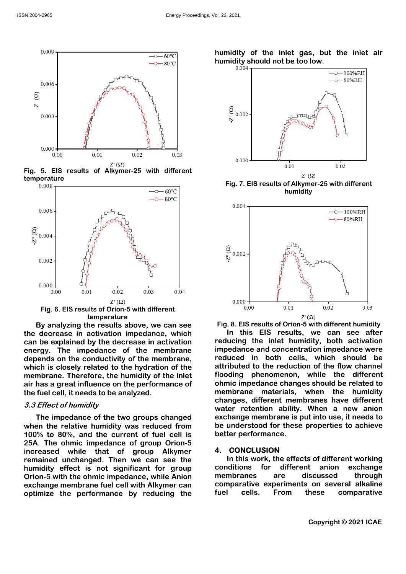

temperature<br> $0.008$ 







humidity



temperature<br>the results above, we can see Fig. 8. EIS results of Orion-5 with different humidity

nition impedance were<br>
which should be<br>
n of the flow channel<br>
while the different<br>
should be related to<br>
when the humidity<br>
ranes have different<br>
When a new anion<br>
tinto use, it needs to<br>
properties to achieve<br>
so roperti 1.3. EST established by the interest of the two groups changed and content of the seased while the relative buring the realist of prior of the two groups changed and content of the two groups changed by the decrease in ac  $\begin{array}{c}\n 0.002 \\
 0.000\n \end{array}$ <br>  $\begin{array}{c}\n 0.000 \\
 0.000\n \end{array}$ <br>  $\begin{array}{c}\n 0.000 \\
 0.000\n \end{array}$ <br>  $\begin{array}{c}\n 0.000 \\
 0.000\n \end{array}$ <br>  $\begin{array}{c}\n 0.000 \\
 0.000\n \end{array}$ <br>  $\begin{array}{c}\n 0.000 \\
 0.000\n \end{array}$ <br>  $\begin{array}{c}\n 0.000 \\
 0.000\n \end{array}$ <br>  $\begin{$ 100% to 80%, and the current of fuel cell is 25<br>
11.1  $\frac{1}{2}$ <br>
12.1  $\frac{1}{2}$ <br>
13.1  $\frac{2}{2}$ <br>
13.1  $\frac{2}{2}$ <br>
13.1  $\frac{2}{2}$ <br>
13.1  $\frac{2}{2}$ <br>
13.1  $\frac{2}{2}$ <br>
13.1  $\frac{2}{2}$ <br>
13.1  $\frac{2}{2}$ <br>
13.1  $\frac{2}{2}$ <br>
14.1  $\frac{2}{2}$ <br>
14.1  $\frac{2}{2}$ <br>
14.1  $\frac{2}{2}$ <br>
14.1  $\frac{$  $\frac{1}{2}$ <br>  $\frac{1}{2}$ <br>  $\frac{1}{2}$ <br>  $\frac{1}{2}$ <br>  $\frac{1}{2}$ <br>  $\frac{1}{2}$ <br>  $\frac{1}{2}$ <br>  $\frac{1}{2}$ <br>  $\frac{1}{2}$ <br>  $\frac{1}{2}$ <br>  $\frac{1}{2}$ <br>  $\frac{1}{2}$ <br>  $\frac{1}{2}$ <br>  $\frac{1}{2}$ <br>  $\frac{1}{2}$ <br>  $\frac{1}{2}$ <br>  $\frac{1}{2}$ <br>  $\frac{1}{2}$ <br>  $\frac{1}{2}$ <br>  $\frac{1}{2}$ <br> remained unchanged. Then we can see the  $\frac{0.00}{27}$   $\frac{0.01}{27}$   $\frac{0.03}{27}$   $\frac{0.04}{27}$ <br>
Fig. 6. EIS results of Orion-5 with different<br>
By analyzing the results above, we can see<br>
Fig. 8. EIS results of Orion-5 with different humidity<br>
the decrease in a Fig. 6. EIS results of  $Z(0)$ <br>
Ey analyzing literature<br>
By analyzing the results above, we can see<br>
Eig. 8. EIS results of Orion-5 with different<br>
the decrease in activation impedance, which<br>
the microsoft in this EIS res Fig. 6. EIS results of Drion-5 with different<br>
By analyzing the results above, we can see<br>
the decrease in activation<br>
the decrease in activation<br>
the decrease in activation<br>
the distribution in pedance of the membrane ex By analyzing the results above, we can see<br>
Eq. 8. EIS results of Orion-5 with different humidity<br>
the decrease in activation impedance, which<br>
can be explained by the decrease in activation impedance, which<br>
can be expla membrane materials, when the humidity  $\begin{array}{c}\n\mathbb{G}_{0.002}\n\downarrow\n\end{array}$ <br>  $\begin{array}{c}\n\mathbb{G}_{0.002}\n\downarrow\n\end{array}$ <br>
Fig. 8. Els results of Orion-5 with different humidity<br>
Translation of the set of Orion-5 with different humidity<br>
reducing the inlet humidity, both acti water retention ability. When a new anion  $\begin{array}{c}\n\mathbb{E}_{\mathbf{5}\backslash 0.002}\n\end{array}$ <br>  $\begin{array}{c}\n\mathbb{E}_{\mathbf{5}\backslash 0.002}\n\end{array}$ <br>  $\begin{array}{c}\n\mathbb{E}_{\mathbf{5}\backslash 0.000}\n\end{array}$ <br>  $\begin{array}{c}\n\mathbb{E}_{\mathbf{10}}\n\end{array}$ <br>  $\begin{array}{c}\n\mathbb{E}_{\mathbf{10}}\n\end{array}$ <br>
Fig. 8. EIS results of Orion-5 with  $\begin{array}{c}\n\mathbb{G} \\
\downarrow \\
\downarrow \\
\downarrow\n\end{array}$ <br> **Be understanding the security of these properties to actual these properties to achieve the internal term of the internal term and concentration impedance were atterned in both celust** Fig. 8. EIS results of Orion-5 with different thumidity<br>  $\begin{bmatrix}\n\frac{1}{2}\sqrt{2} \\
0.000 \\
0.01\n\end{bmatrix}\n\qquad \begin{bmatrix}\n\frac{2}{2}\sqrt{2} \\
0.03\n\end{bmatrix}$ <br>
Fig. 8. EIS results of Orion-5 with different humidity<br>
reducing the inlet humidity, both 1. CONCLUSION<br>
4. CONCLUSION<br>
1. Continues are discussed by the different management<br>
2. Continues and concentration in this EIS results, we can see after<br>
reducing the inlet humidity, both activation<br>
reduced in both cell 1.8. EIS results of Orion-5 with different humidity<br>
In this EIS results of Orion-5 with different humidity<br>
In this EIS results, we can see after<br>
ucing the inlet humidity, both activation<br>
eddnce and concentration imped **Example 12**<br>
Fig. 8. EIS results of Orion-5 with different humidity<br>
In this EIS results of Orion-5 with different humidity<br>
In this EIS results, we can see after<br>
reducing the inlet humidity, both activation<br>
impedance  $0.000$ <br>  $0.01$ <br>  $0.02$ <br>  $0.03$ <br>  $0.03$ <br>
Fig. 8. EIS results of Orion-5 with different humidity<br>
In this EIS results, we can see after<br>
reducing the inlet humidity, both activation<br>
reduced in both cells, which should be<br> <sup>0.00</sup><sup>0.01</sup><sup>0.02</sup><sup>0.03</sup><br>
Fig. 8. EIS results of Orion-5 with different humidity<br>
In this EIS results, we can see after<br>
reducing the inlet humidity, both activation<br>
impedance and concentration impedance were<br>
reduced in Fig. 8. EIS results of Orion-5 with different humidity<br>
In this EIS results, we can see after<br>
reducing the inlet humidity, both activation<br>
impedance and concentration impedance were<br>
reduced in both cells, which should